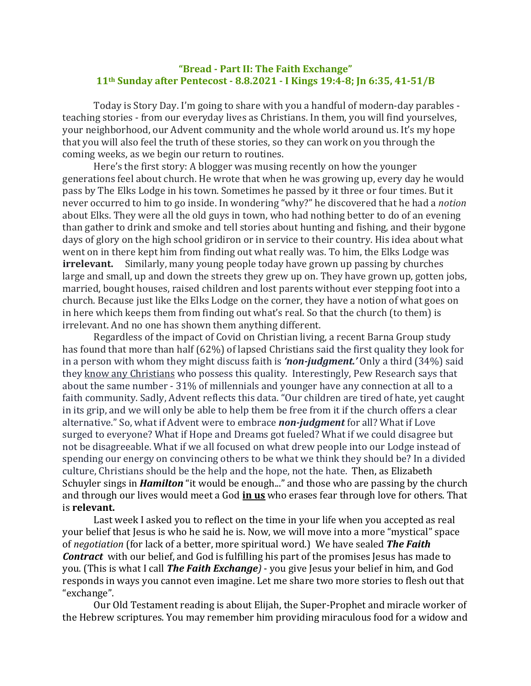## "Bread - Part II: The Faith Exchange" **11th Sunday after Pentecost - 8.8.2021 - I Kings 19:4-8; Jn 6:35, 41-51/B**

Today is Story Day. I'm going to share with you a handful of modern-day parables teaching stories - from our everyday lives as Christians. In them, you will find yourselves, your neighborhood, our Advent community and the whole world around us. It's my hope that you will also feel the truth of these stories, so they can work on you through the coming weeks, as we begin our return to routines.

Here's the first story: A blogger was musing recently on how the younger generations feel about church. He wrote that when he was growing up, every day he would pass by The Elks Lodge in his town. Sometimes he passed by it three or four times. But it never occurred to him to go inside. In wondering "why?" he discovered that he had a *notion* about Elks. They were all the old guys in town, who had nothing better to do of an evening than gather to drink and smoke and tell stories about hunting and fishing, and their bygone days of glory on the high school gridiron or in service to their country. His idea about what went on in there kept him from finding out what really was. To him, the Elks Lodge was **irrelevant.** Similarly, many young people today have grown up passing by churches large and small, up and down the streets they grew up on. They have grown up, gotten jobs, married, bought houses, raised children and lost parents without ever stepping foot into a church. Because just like the Elks Lodge on the corner, they have a notion of what goes on in here which keeps them from finding out what's real. So that the church (to them) is irrelevant. And no one has shown them anything different.

Regardless of the impact of Covid on Christian living, a recent Barna Group study has found that more than half (62%) of lapsed Christians said the first quality they look for in a person with whom they might discuss faith is *'non-judgment.'* Only a third (34%) said they know any Christians who possess this quality. Interestingly, Pew Research says that about the same number - 31% of millennials and younger have any connection at all to a faith community. Sadly, Advent reflects this data. "Our children are tired of hate, yet caught in its grip, and we will only be able to help them be free from it if the church offers a clear alternative." So, what if Advent were to embrace *non-judgment* for all? What if Love surged to everyone? What if Hope and Dreams got fueled? What if we could disagree but not be disagreeable. What if we all focused on what drew people into our Lodge instead of spending our energy on convincing others to be what we think they should be? In a divided culture, Christians should be the help and the hope, not the hate. Then, as Elizabeth Schuyler sings in **Hamilton** "it would be enough..." and those who are passing by the church and through our lives would meet a God *in us* who erases fear through love for others. That is **relevant.**

Last week I asked you to reflect on the time in your life when you accepted as real your belief that Jesus is who he said he is. Now, we will move into a more "mystical" space of *negotiation* (for lack of a better, more spiritual word.) We have sealed **The Faith Contract** with our belief, and God is fulfilling his part of the promises Jesus has made to you. (This is what I call *The Faith Exchange*) - you give Jesus your belief in him, and God responds in ways you cannot even imagine. Let me share two more stories to flesh out that "exchange".

Our Old Testament reading is about Elijah, the Super-Prophet and miracle worker of the Hebrew scriptures. You may remember him providing miraculous food for a widow and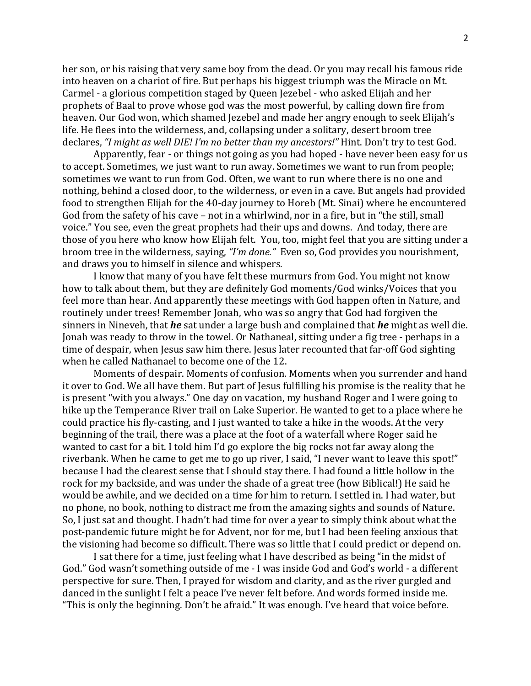her son, or his raising that very same boy from the dead. Or you may recall his famous ride into heaven on a chariot of fire. But perhaps his biggest triumph was the Miracle on Mt. Carmel - a glorious competition staged by Queen Jezebel - who asked Elijah and her prophets of Baal to prove whose god was the most powerful, by calling down fire from heaven. Our God won, which shamed Jezebel and made her angry enough to seek Elijah's life. He flees into the wilderness, and, collapsing under a solitary, desert broom tree declares, "I might as well DIE! I'm no better than my ancestors!" Hint. Don't try to test God.

Apparently, fear - or things not going as you had hoped - have never been easy for us to accept. Sometimes, we just want to run away. Sometimes we want to run from people; sometimes we want to run from God. Often, we want to run where there is no one and nothing, behind a closed door, to the wilderness, or even in a cave. But angels had provided food to strengthen Elijah for the 40-day journey to Horeb (Mt. Sinai) where he encountered God from the safety of his cave – not in a whirlwind, nor in a fire, but in "the still, small voice." You see, even the great prophets had their ups and downs. And today, there are those of you here who know how Elijah felt. You, too, might feel that you are sitting under a broom tree in the wilderness, saying, "I'm done." Even so, God provides you nourishment, and draws you to himself in silence and whispers.

I know that many of you have felt these murmurs from God. You might not know how to talk about them, but they are definitely God moments/God winks/Voices that you feel more than hear. And apparently these meetings with God happen often in Nature, and routinely under trees! Remember Jonah, who was so angry that God had forgiven the sinners in Nineveh, that *he* sat under a large bush and complained that *he* might as well die. Jonah was ready to throw in the towel. Or Nathaneal, sitting under a fig tree - perhaps in a time of despair, when Jesus saw him there. Jesus later recounted that far-off God sighting when he called Nathanael to become one of the 12.

Moments of despair. Moments of confusion. Moments when you surrender and hand it over to God. We all have them. But part of Jesus fulfilling his promise is the reality that he is present "with you always." One day on vacation, my husband Roger and I were going to hike up the Temperance River trail on Lake Superior. He wanted to get to a place where he could practice his fly-casting, and I just wanted to take a hike in the woods. At the very beginning of the trail, there was a place at the foot of a waterfall where Roger said he wanted to cast for a bit. I told him I'd go explore the big rocks not far away along the riverbank. When he came to get me to go up river, I said, "I never want to leave this spot!" because I had the clearest sense that I should stay there. I had found a little hollow in the rock for my backside, and was under the shade of a great tree (how Biblical!) He said he would be awhile, and we decided on a time for him to return. I settled in. I had water, but no phone, no book, nothing to distract me from the amazing sights and sounds of Nature. So, I just sat and thought. I hadn't had time for over a year to simply think about what the post-pandemic future might be for Advent, nor for me, but I had been feeling anxious that the visioning had become so difficult. There was so little that I could predict or depend on.

I sat there for a time, just feeling what I have described as being "in the midst of God." God wasn't something outside of me - I was inside God and God's world - a different perspective for sure. Then, I prayed for wisdom and clarity, and as the river gurgled and danced in the sunlight I felt a peace I've never felt before. And words formed inside me. "This is only the beginning. Don't be afraid." It was enough. I've heard that voice before.